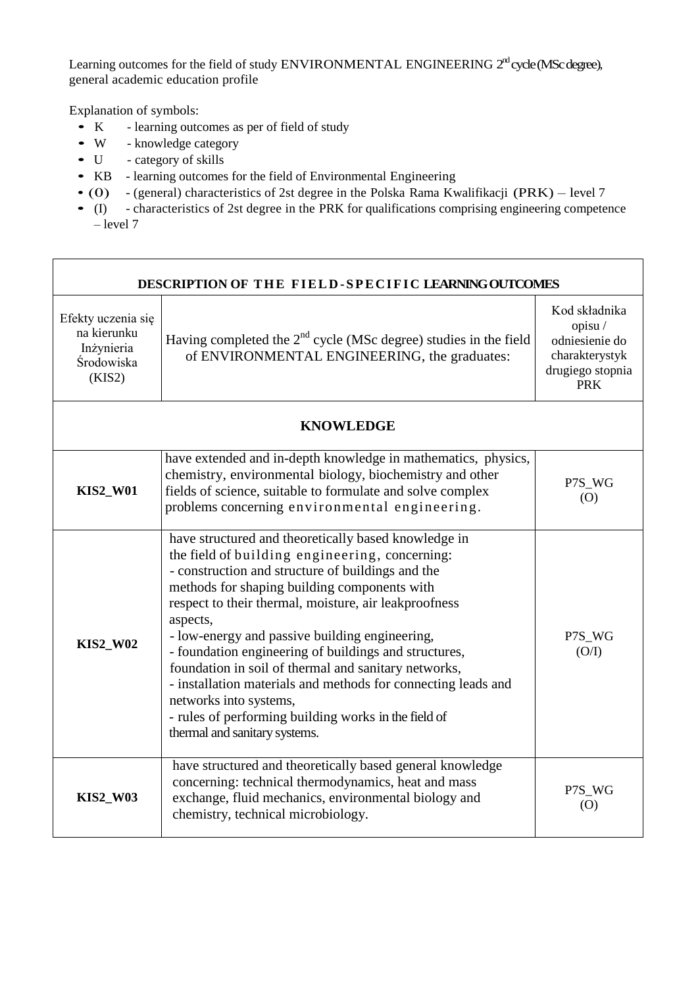Learning outcomes for the field of study ENVIRONMENTAL ENGINEERING  $2<sup>nd</sup>$  cycle (MSc degree), general academic education profile

Explanation of symbols:

- K learning outcomes as per of field of study<br>• W knowledge category
- knowledge category
- U category of skills
- KB learning outcomes for the field of Environmental Engineering
- (0) (general) characteristics of 2st degree in the Polska Rama Kwalifikacji (PRK) level 7
- (I) characteristics of 2st degree in the PRK for qualifications comprising engineering competence – level 7

| DESCRIPTION OF THE FIELD-SPECIFIC LEARNING OUTCOMES                     |                                                                                                                                                                                                                                                                                                                                                                                                                                                                                                                                                                                                                                         |                                                                                               |
|-------------------------------------------------------------------------|-----------------------------------------------------------------------------------------------------------------------------------------------------------------------------------------------------------------------------------------------------------------------------------------------------------------------------------------------------------------------------------------------------------------------------------------------------------------------------------------------------------------------------------------------------------------------------------------------------------------------------------------|-----------------------------------------------------------------------------------------------|
| Efekty uczenia się<br>na kierunku<br>Inżynieria<br>Środowiska<br>(KIS2) | Having completed the $2nd$ cycle (MSc degree) studies in the field<br>of ENVIRONMENTAL ENGINEERING, the graduates:                                                                                                                                                                                                                                                                                                                                                                                                                                                                                                                      | Kod składnika<br>opisu/<br>odniesienie do<br>charakterystyk<br>drugiego stopnia<br><b>PRK</b> |
| <b>KNOWLEDGE</b>                                                        |                                                                                                                                                                                                                                                                                                                                                                                                                                                                                                                                                                                                                                         |                                                                                               |
| <b>KIS2_W01</b>                                                         | have extended and in-depth knowledge in mathematics, physics,<br>chemistry, environmental biology, biochemistry and other<br>fields of science, suitable to formulate and solve complex<br>problems concerning environmental engineering.                                                                                                                                                                                                                                                                                                                                                                                               | P7S_WG<br>(0)                                                                                 |
| <b>KIS2_W02</b>                                                         | have structured and theoretically based knowledge in<br>the field of building engineering, concerning:<br>- construction and structure of buildings and the<br>methods for shaping building components with<br>respect to their thermal, moisture, air leakproofness<br>aspects,<br>- low-energy and passive building engineering,<br>- foundation engineering of buildings and structures,<br>foundation in soil of thermal and sanitary networks,<br>- installation materials and methods for connecting leads and<br>networks into systems,<br>- rules of performing building works in the field of<br>thermal and sanitary systems. | P7S_WG<br>(O/I)                                                                               |
| <b>KIS2_W03</b>                                                         | have structured and theoretically based general knowledge<br>concerning: technical thermodynamics, heat and mass<br>exchange, fluid mechanics, environmental biology and<br>chemistry, technical microbiology.                                                                                                                                                                                                                                                                                                                                                                                                                          | P7S_WG<br>(0)                                                                                 |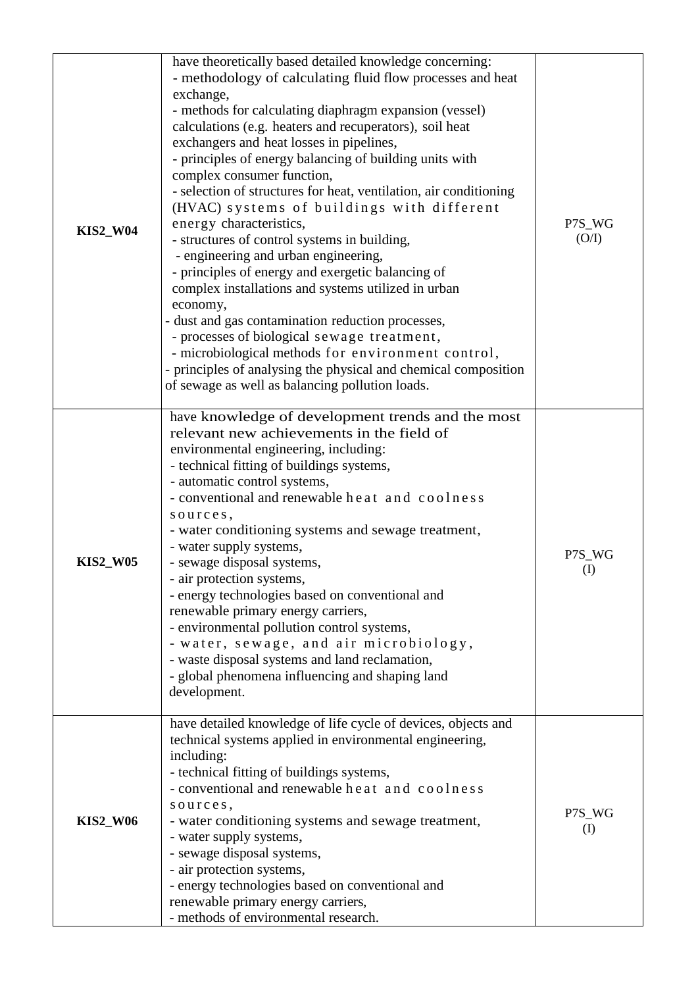| <b>KIS2_W04</b> | have theoretically based detailed knowledge concerning:<br>- methodology of calculating fluid flow processes and heat<br>exchange,<br>- methods for calculating diaphragm expansion (vessel)<br>calculations (e.g. heaters and recuperators), soil heat<br>exchangers and heat losses in pipelines,<br>- principles of energy balancing of building units with<br>complex consumer function,<br>- selection of structures for heat, ventilation, air conditioning<br>(HVAC) systems of buildings with different<br>energy characteristics,<br>- structures of control systems in building,<br>- engineering and urban engineering,<br>- principles of energy and exergetic balancing of<br>complex installations and systems utilized in urban<br>economy,<br>- dust and gas contamination reduction processes,<br>- processes of biological sewage treatment,<br>- microbiological methods for environment control,<br>- principles of analysing the physical and chemical composition<br>of sewage as well as balancing pollution loads. | P7S_WG<br>(O/I)    |
|-----------------|--------------------------------------------------------------------------------------------------------------------------------------------------------------------------------------------------------------------------------------------------------------------------------------------------------------------------------------------------------------------------------------------------------------------------------------------------------------------------------------------------------------------------------------------------------------------------------------------------------------------------------------------------------------------------------------------------------------------------------------------------------------------------------------------------------------------------------------------------------------------------------------------------------------------------------------------------------------------------------------------------------------------------------------------|--------------------|
| <b>KIS2_W05</b> | have knowledge of development trends and the most<br>relevant new achievements in the field of<br>environmental engineering, including:<br>- technical fitting of buildings systems,<br>- automatic control systems,<br>- conventional and renewable heat and coolness<br>sources,<br>- water conditioning systems and sewage treatment,<br>- water supply systems,<br>- sewage disposal systems,<br>- air protection systems,<br>- energy technologies based on conventional and<br>renewable primary energy carriers,<br>- environmental pollution control systems,<br>- water, sewage, and air microbiology,<br>- waste disposal systems and land reclamation,<br>- global phenomena influencing and shaping land<br>development.                                                                                                                                                                                                                                                                                                       | P7S_WG<br>$\rm(D)$ |
| <b>KIS2_W06</b> | have detailed knowledge of life cycle of devices, objects and<br>technical systems applied in environmental engineering,<br>including:<br>- technical fitting of buildings systems,<br>- conventional and renewable heat and coolness<br>sources,<br>- water conditioning systems and sewage treatment,<br>- water supply systems,<br>- sewage disposal systems,<br>- air protection systems,<br>- energy technologies based on conventional and<br>renewable primary energy carriers,<br>- methods of environmental research.                                                                                                                                                                                                                                                                                                                                                                                                                                                                                                             | P7S_WG<br>$\rm(D)$ |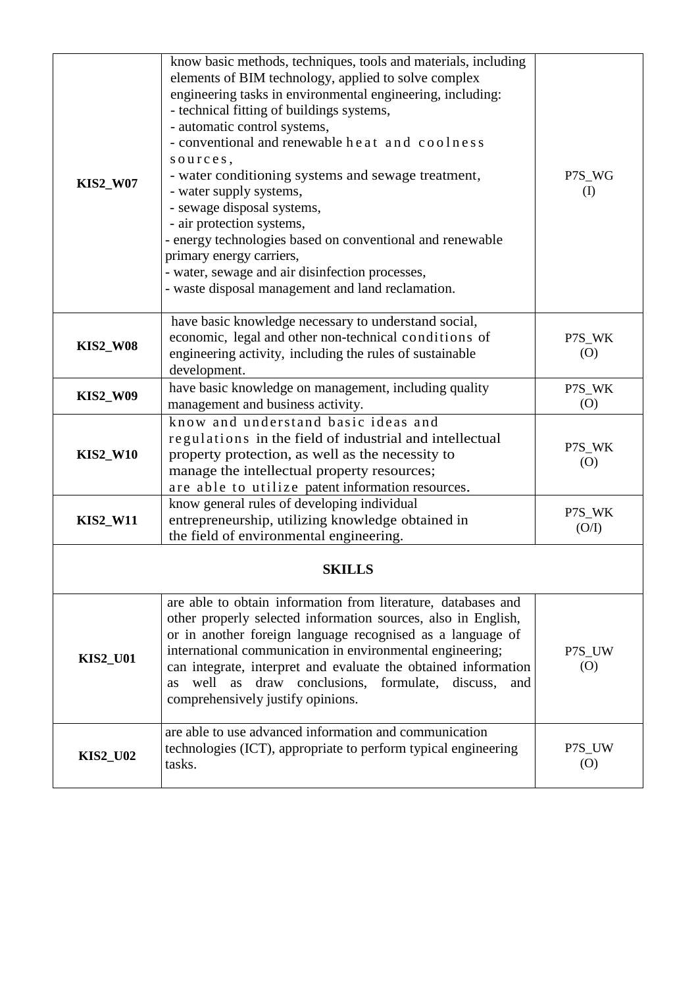| <b>KIS2_W07</b> | know basic methods, techniques, tools and materials, including<br>elements of BIM technology, applied to solve complex<br>engineering tasks in environmental engineering, including:<br>- technical fitting of buildings systems,<br>- automatic control systems,<br>- conventional and renewable heat and coolness<br>sources,<br>- water conditioning systems and sewage treatment,<br>- water supply systems,<br>- sewage disposal systems,<br>- air protection systems,<br>- energy technologies based on conventional and renewable<br>primary energy carriers,<br>- water, sewage and air disinfection processes,<br>- waste disposal management and land reclamation. | P7S_WG<br>(I)   |
|-----------------|------------------------------------------------------------------------------------------------------------------------------------------------------------------------------------------------------------------------------------------------------------------------------------------------------------------------------------------------------------------------------------------------------------------------------------------------------------------------------------------------------------------------------------------------------------------------------------------------------------------------------------------------------------------------------|-----------------|
| <b>KIS2_W08</b> | have basic knowledge necessary to understand social,<br>economic, legal and other non-technical conditions of<br>engineering activity, including the rules of sustainable<br>development.                                                                                                                                                                                                                                                                                                                                                                                                                                                                                    | P7S_WK<br>(O)   |
| <b>KIS2_W09</b> | have basic knowledge on management, including quality<br>management and business activity.                                                                                                                                                                                                                                                                                                                                                                                                                                                                                                                                                                                   | P7S_WK<br>(O)   |
| <b>KIS2_W10</b> | know and understand basic ideas and<br>regulations in the field of industrial and intellectual<br>property protection, as well as the necessity to<br>manage the intellectual property resources;<br>are able to utilize patent information resources.                                                                                                                                                                                                                                                                                                                                                                                                                       | P7S_WK<br>(0)   |
| <b>KIS2_W11</b> | know general rules of developing individual<br>entrepreneurship, utilizing knowledge obtained in<br>the field of environmental engineering.                                                                                                                                                                                                                                                                                                                                                                                                                                                                                                                                  | P7S_WK<br>(O/I) |
| <b>SKILLS</b>   |                                                                                                                                                                                                                                                                                                                                                                                                                                                                                                                                                                                                                                                                              |                 |
| <b>KIS2_U01</b> | are able to obtain information from literature, databases and<br>other properly selected information sources, also in English,<br>or in another foreign language recognised as a language of<br>international communication in environmental engineering;<br>can integrate, interpret and evaluate the obtained information<br>well as draw conclusions, formulate, discuss,<br>and<br><b>as</b><br>comprehensively justify opinions.                                                                                                                                                                                                                                        | P7S_UW<br>(0)   |
| <b>KIS2_U02</b> | are able to use advanced information and communication<br>technologies (ICT), appropriate to perform typical engineering<br>tasks.                                                                                                                                                                                                                                                                                                                                                                                                                                                                                                                                           | P7S_UW<br>(0)   |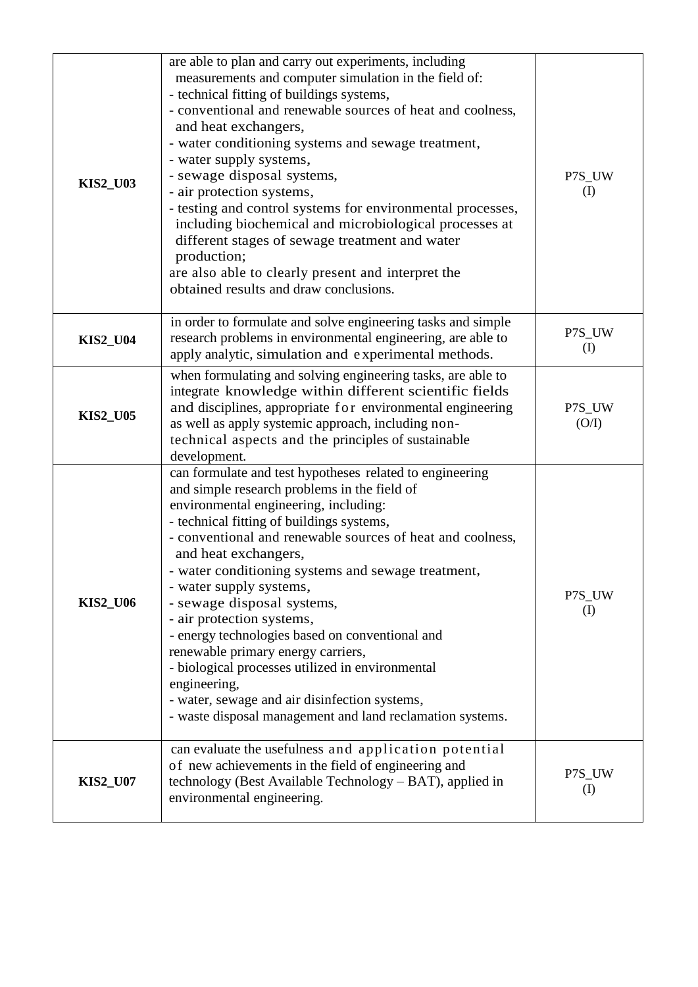| <b>KIS2_U03</b> | are able to plan and carry out experiments, including<br>measurements and computer simulation in the field of:<br>- technical fitting of buildings systems,<br>- conventional and renewable sources of heat and coolness,<br>and heat exchangers,<br>- water conditioning systems and sewage treatment,<br>- water supply systems,<br>- sewage disposal systems,<br>- air protection systems,<br>- testing and control systems for environmental processes,<br>including biochemical and microbiological processes at<br>different stages of sewage treatment and water<br>production;<br>are also able to clearly present and interpret the<br>obtained results and draw conclusions.                      | P7S_UW<br>$\rm(D)$ |
|-----------------|-------------------------------------------------------------------------------------------------------------------------------------------------------------------------------------------------------------------------------------------------------------------------------------------------------------------------------------------------------------------------------------------------------------------------------------------------------------------------------------------------------------------------------------------------------------------------------------------------------------------------------------------------------------------------------------------------------------|--------------------|
| <b>KIS2_U04</b> | in order to formulate and solve engineering tasks and simple<br>research problems in environmental engineering, are able to<br>apply analytic, simulation and experimental methods.                                                                                                                                                                                                                                                                                                                                                                                                                                                                                                                         | P7S_UW<br>$\rm(D)$ |
| <b>KIS2_U05</b> | when formulating and solving engineering tasks, are able to<br>integrate knowledge within different scientific fields<br>and disciplines, appropriate for environmental engineering<br>as well as apply systemic approach, including non-<br>technical aspects and the principles of sustainable<br>development.                                                                                                                                                                                                                                                                                                                                                                                            | P7S_UW<br>(O/I)    |
| <b>KIS2_U06</b> | can formulate and test hypotheses related to engineering<br>and simple research problems in the field of<br>environmental engineering, including:<br>- technical fitting of buildings systems,<br>- conventional and renewable sources of heat and coolness,<br>and heat exchangers,<br>- water conditioning systems and sewage treatment,<br>- water supply systems,<br>- sewage disposal systems,<br>- air protection systems,<br>- energy technologies based on conventional and<br>renewable primary energy carriers,<br>- biological processes utilized in environmental<br>engineering,<br>- water, sewage and air disinfection systems,<br>- waste disposal management and land reclamation systems. | P7S_UW<br>$\rm(D)$ |
| <b>KIS2_U07</b> | can evaluate the usefulness and application potential<br>of new achievements in the field of engineering and<br>technology (Best Available Technology - BAT), applied in<br>environmental engineering.                                                                                                                                                                                                                                                                                                                                                                                                                                                                                                      | P7S_UW<br>$\rm(D)$ |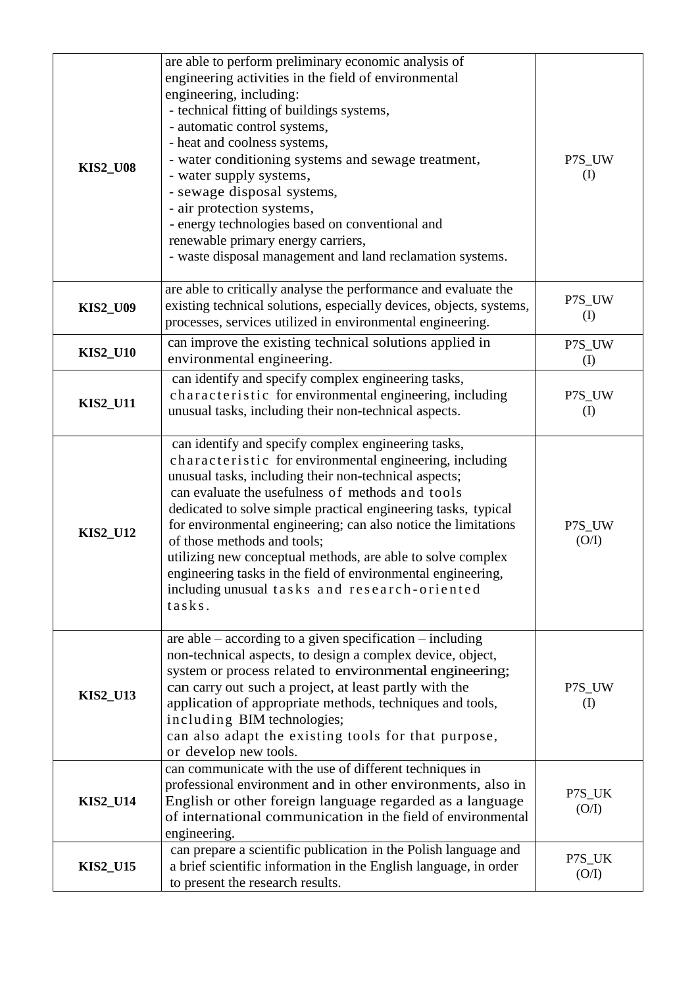| <b>KIS2_U08</b> | are able to perform preliminary economic analysis of<br>engineering activities in the field of environmental<br>engineering, including:<br>- technical fitting of buildings systems,<br>- automatic control systems,<br>- heat and coolness systems,<br>- water conditioning systems and sewage treatment,<br>- water supply systems,<br>- sewage disposal systems,<br>- air protection systems,<br>- energy technologies based on conventional and<br>renewable primary energy carriers,<br>- waste disposal management and land reclamation systems.                                   | P7S_UW<br>$\rm (I)$ |
|-----------------|------------------------------------------------------------------------------------------------------------------------------------------------------------------------------------------------------------------------------------------------------------------------------------------------------------------------------------------------------------------------------------------------------------------------------------------------------------------------------------------------------------------------------------------------------------------------------------------|---------------------|
| <b>KIS2_U09</b> | are able to critically analyse the performance and evaluate the<br>existing technical solutions, especially devices, objects, systems,<br>processes, services utilized in environmental engineering.                                                                                                                                                                                                                                                                                                                                                                                     | P7S_UW<br>$\rm(D)$  |
| <b>KIS2_U10</b> | can improve the existing technical solutions applied in<br>environmental engineering.                                                                                                                                                                                                                                                                                                                                                                                                                                                                                                    | P7S_UW<br>$\rm(D)$  |
| <b>KIS2_U11</b> | can identify and specify complex engineering tasks,<br>characteristic for environmental engineering, including<br>unusual tasks, including their non-technical aspects.                                                                                                                                                                                                                                                                                                                                                                                                                  | P7S_UW<br>$\rm (I)$ |
| <b>KIS2_U12</b> | can identify and specify complex engineering tasks,<br>characteristic for environmental engineering, including<br>unusual tasks, including their non-technical aspects;<br>can evaluate the usefulness of methods and tools<br>dedicated to solve simple practical engineering tasks, typical<br>for environmental engineering; can also notice the limitations<br>of those methods and tools;<br>utilizing new conceptual methods, are able to solve complex<br>engineering tasks in the field of environmental engineering,<br>including unusual tasks and research-oriented<br>tasks. | P7S UW<br>(O/I)     |
| <b>KIS2_U13</b> | are able – according to a given specification – including<br>non-technical aspects, to design a complex device, object,<br>system or process related to environmental engineering;<br>can carry out such a project, at least partly with the<br>application of appropriate methods, techniques and tools,<br>including BIM technologies;<br>can also adapt the existing tools for that purpose,<br>or develop new tools.                                                                                                                                                                 | P7S_UW<br>$\rm(D)$  |
| <b>KIS2_U14</b> | can communicate with the use of different techniques in<br>professional environment and in other environments, also in<br>English or other foreign language regarded as a language<br>of international communication in the field of environmental<br>engineering.                                                                                                                                                                                                                                                                                                                       | P7S_UK<br>(O/I)     |
| <b>KIS2_U15</b> | can prepare a scientific publication in the Polish language and<br>a brief scientific information in the English language, in order<br>to present the research results.                                                                                                                                                                                                                                                                                                                                                                                                                  | P7S_UK<br>(O/I)     |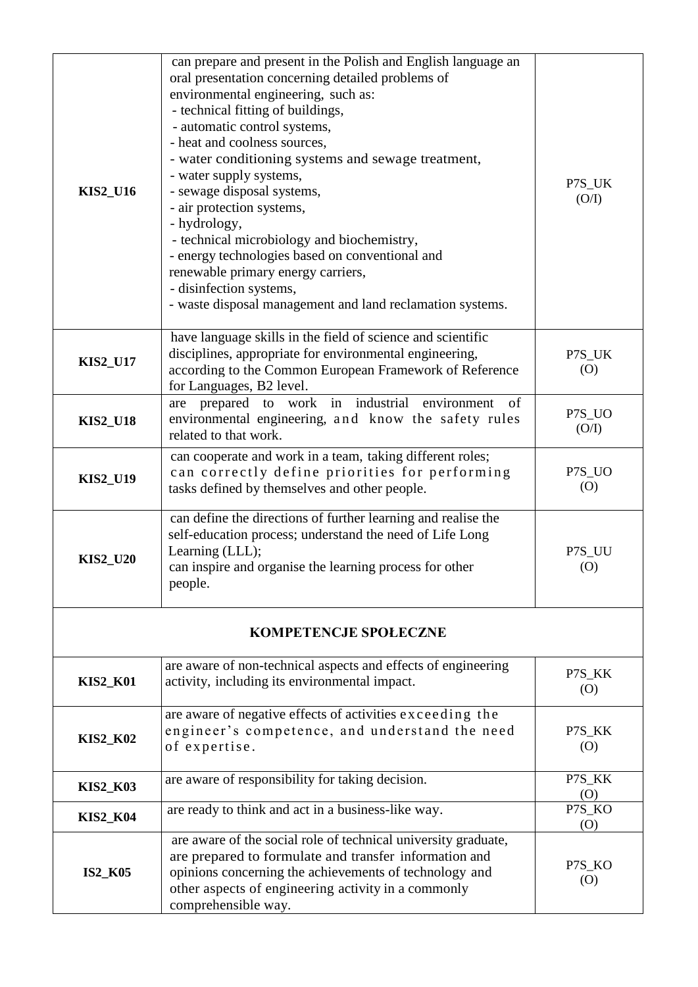| <b>KIS2_U16</b>              | can prepare and present in the Polish and English language an<br>oral presentation concerning detailed problems of<br>environmental engineering, such as:<br>- technical fitting of buildings,<br>- automatic control systems,<br>- heat and coolness sources,<br>- water conditioning systems and sewage treatment,<br>- water supply systems,<br>- sewage disposal systems,<br>- air protection systems,<br>- hydrology,<br>- technical microbiology and biochemistry,<br>- energy technologies based on conventional and<br>renewable primary energy carriers,<br>- disinfection systems,<br>- waste disposal management and land reclamation systems. | P7S_UK<br>(O/I) |
|------------------------------|-----------------------------------------------------------------------------------------------------------------------------------------------------------------------------------------------------------------------------------------------------------------------------------------------------------------------------------------------------------------------------------------------------------------------------------------------------------------------------------------------------------------------------------------------------------------------------------------------------------------------------------------------------------|-----------------|
| <b>KIS2_U17</b>              | have language skills in the field of science and scientific<br>disciplines, appropriate for environmental engineering,<br>according to the Common European Framework of Reference<br>for Languages, B2 level.                                                                                                                                                                                                                                                                                                                                                                                                                                             | P7S_UK<br>(0)   |
| <b>KIS2_U18</b>              | prepared to work in industrial<br>environment<br>of<br>are<br>environmental engineering, and know the safety rules<br>related to that work.                                                                                                                                                                                                                                                                                                                                                                                                                                                                                                               | P7S_UO<br>(O/I) |
| <b>KIS2_U19</b>              | can cooperate and work in a team, taking different roles;<br>can correctly define priorities for performing<br>tasks defined by themselves and other people.                                                                                                                                                                                                                                                                                                                                                                                                                                                                                              | P7S_UO<br>(0)   |
| <b>KIS2_U20</b>              | can define the directions of further learning and realise the<br>self-education process; understand the need of Life Long<br>Learning (LLL);<br>can inspire and organise the learning process for other<br>people.                                                                                                                                                                                                                                                                                                                                                                                                                                        | P7S_UU<br>(0)   |
| <b>KOMPETENCJE SPOŁECZNE</b> |                                                                                                                                                                                                                                                                                                                                                                                                                                                                                                                                                                                                                                                           |                 |
| <b>KIS2_K01</b>              | are aware of non-technical aspects and effects of engineering<br>activity, including its environmental impact.                                                                                                                                                                                                                                                                                                                                                                                                                                                                                                                                            | P7S_KK<br>(0)   |
| <b>KIS2_K02</b>              | are aware of negative effects of activities exceeding the<br>engineer's competence, and understand the need<br>of expertise.                                                                                                                                                                                                                                                                                                                                                                                                                                                                                                                              | P7S_KK<br>(O)   |
| <b>KIS2_K03</b>              | are aware of responsibility for taking decision.                                                                                                                                                                                                                                                                                                                                                                                                                                                                                                                                                                                                          | P7S_KK<br>(0)   |
| <b>KIS2_K04</b>              | are ready to think and act in a business-like way.                                                                                                                                                                                                                                                                                                                                                                                                                                                                                                                                                                                                        | P7S_KO<br>(O)   |
| <b>IS2_K05</b>               | are aware of the social role of technical university graduate,<br>are prepared to formulate and transfer information and<br>opinions concerning the achievements of technology and<br>other aspects of engineering activity in a commonly<br>comprehensible way.                                                                                                                                                                                                                                                                                                                                                                                          | P7S_KO<br>(O)   |